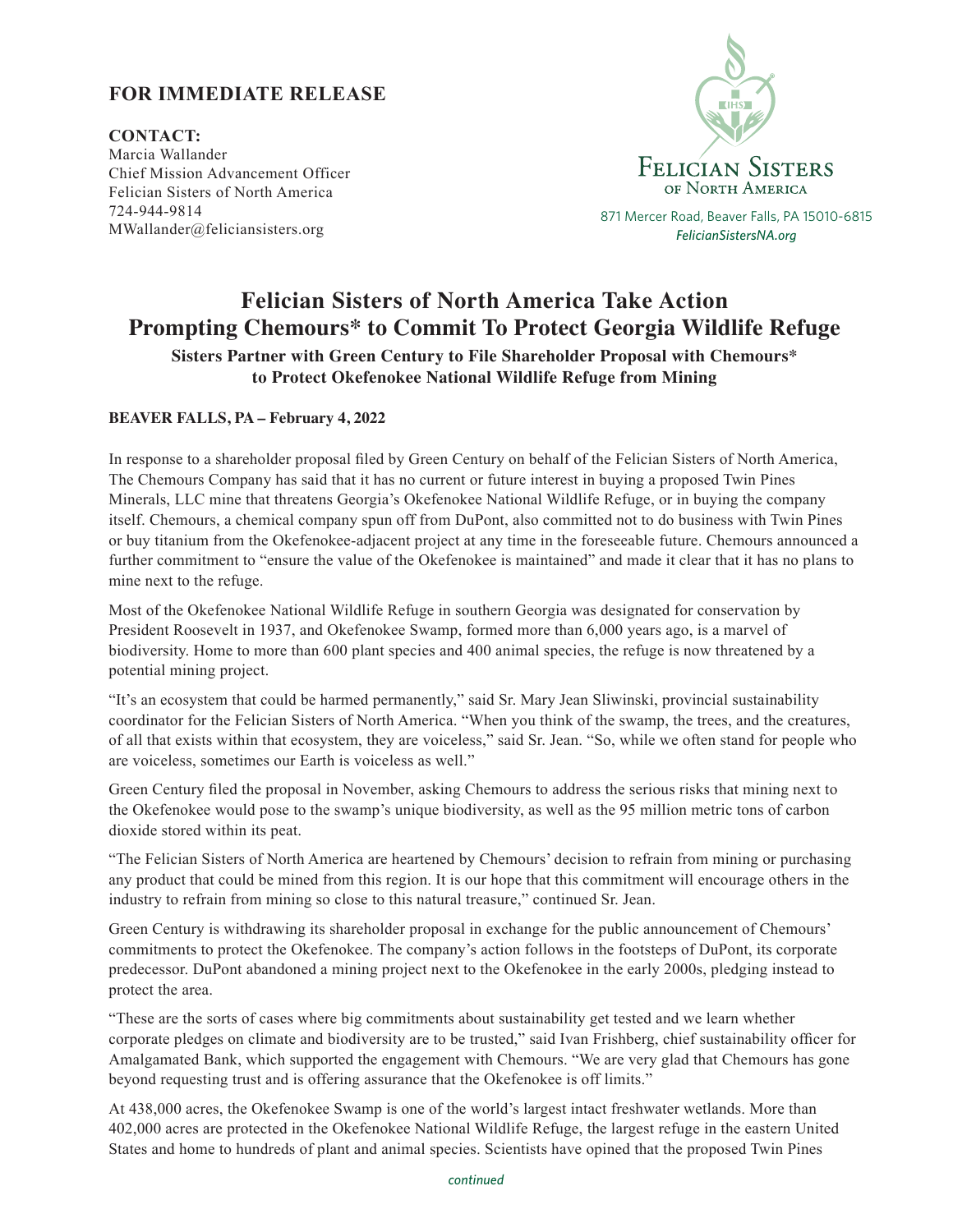## **FOR IMMEDIATE RELEASE**

**CONTACT:**  Marcia Wallander Chief Mission Advancement Officer Felician Sisters of North America 724-944-9814 MWallander@feliciansisters.org



*FelicianSistersNA.org*

## **Felician Sisters of North America Take Action Prompting Chemours\* to Commit To Protect Georgia Wildlife Refuge**

**Sisters Partner with Green Century to File Shareholder Proposal with Chemours\* to Protect Okefenokee National Wildlife Refuge from Mining**

## **BEAVER FALLS, PA – February 4, 2022**

In response to a shareholder proposal filed by Green Century on behalf of the Felician Sisters of North America, The Chemours Company has said that it has no current or future interest in buying a proposed Twin Pines Minerals, LLC mine that threatens Georgia's Okefenokee National Wildlife Refuge, or in buying the company itself. Chemours, a chemical company spun off from DuPont, also committed not to do business with Twin Pines or buy titanium from the Okefenokee-adjacent project at any time in the foreseeable future. Chemours announced a further commitment to "ensure the value of the Okefenokee is maintained" and made it clear that it has no plans to mine next to the refuge.

Most of the Okefenokee National Wildlife Refuge in southern Georgia was designated for conservation by President Roosevelt in 1937, and Okefenokee Swamp, formed more than 6,000 years ago, is a marvel of biodiversity. Home to more than 600 plant species and 400 animal species, the refuge is now threatened by a potential mining project.

"It's an ecosystem that could be harmed permanently," said Sr. Mary Jean Sliwinski, provincial sustainability coordinator for the Felician Sisters of North America. "When you think of the swamp, the trees, and the creatures, of all that exists within that ecosystem, they are voiceless," said Sr. Jean. "So, while we often stand for people who are voiceless, sometimes our Earth is voiceless as well."

Green Century filed the proposal in November, asking Chemours to address the serious risks that mining next to the Okefenokee would pose to the swamp's unique biodiversity, as well as the 95 million metric tons of carbon dioxide stored within its peat.

"The Felician Sisters of North America are heartened by Chemours' decision to refrain from mining or purchasing any product that could be mined from this region. It is our hope that this commitment will encourage others in the industry to refrain from mining so close to this natural treasure," continued Sr. Jean.

Green Century is withdrawing its shareholder proposal in exchange for the public announcement of Chemours' commitments to protect the Okefenokee. The company's action follows in the footsteps of DuPont, its corporate predecessor. DuPont abandoned a mining project next to the Okefenokee in the early 2000s, pledging instead to protect the area.

"These are the sorts of cases where big commitments about sustainability get tested and we learn whether corporate pledges on climate and biodiversity are to be trusted," said Ivan Frishberg, chief sustainability officer for Amalgamated Bank, which supported the engagement with Chemours. "We are very glad that Chemours has gone beyond requesting trust and is offering assurance that the Okefenokee is off limits."

At 438,000 acres, the Okefenokee Swamp is one of the world's largest intact freshwater wetlands. More than 402,000 acres are protected in the Okefenokee National Wildlife Refuge, the largest refuge in the eastern United States and home to hundreds of plant and animal species. Scientists have opined that the proposed Twin Pines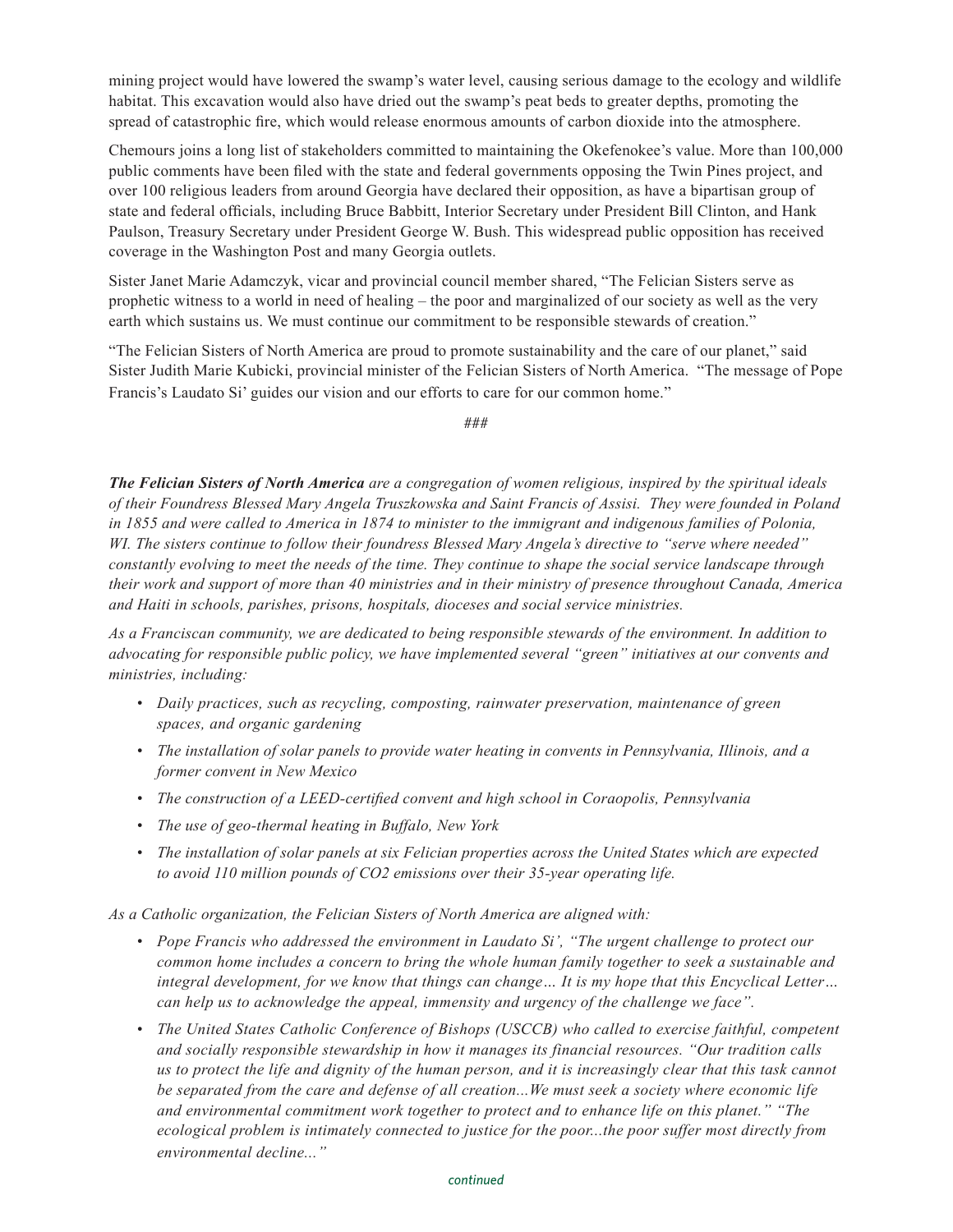mining project would have lowered the swamp's water level, causing serious damage to the ecology and wildlife habitat. This excavation would also have dried out the swamp's peat beds to greater depths, promoting the spread of catastrophic fire, which would release enormous amounts of carbon dioxide into the atmosphere.

Chemours joins a long list of stakeholders committed to maintaining the Okefenokee's value. More than 100,000 public comments have been filed with the state and federal governments opposing the Twin Pines project, and over 100 religious leaders from around Georgia have declared their opposition, as have a bipartisan group of state and federal officials, including Bruce Babbitt, Interior Secretary under President Bill Clinton, and Hank Paulson, Treasury Secretary under President George W. Bush. This widespread public opposition has received coverage in the Washington Post and many Georgia outlets.

Sister Janet Marie Adamczyk, vicar and provincial council member shared, "The Felician Sisters serve as prophetic witness to a world in need of healing – the poor and marginalized of our society as well as the very earth which sustains us. We must continue our commitment to be responsible stewards of creation."

"The Felician Sisters of North America are proud to promote sustainability and the care of our planet," said Sister Judith Marie Kubicki, provincial minister of the Felician Sisters of North America. "The message of Pope Francis's Laudato Si' guides our vision and our efforts to care for our common home."

###

*The Felician Sisters of North America are a congregation of women religious, inspired by the spiritual ideals of their Foundress Blessed Mary Angela Truszkowska and Saint Francis of Assisi. They were founded in Poland in 1855 and were called to America in 1874 to minister to the immigrant and indigenous families of Polonia, WI. The sisters continue to follow their foundress Blessed Mary Angela's directive to "serve where needed" constantly evolving to meet the needs of the time. They continue to shape the social service landscape through their work and support of more than 40 ministries and in their ministry of presence throughout Canada, America and Haiti in schools, parishes, prisons, hospitals, dioceses and social service ministries.*

*As a Franciscan community, we are dedicated to being responsible stewards of the environment. In addition to advocating for responsible public policy, we have implemented several "green" initiatives at our convents and ministries, including:*

- *Daily practices, such as recycling, composting, rainwater preservation, maintenance of green spaces, and organic gardening*
- *The installation of solar panels to provide water heating in convents in Pennsylvania, Illinois, and a former convent in New Mexico*
- *• The construction of a LEED-certified convent and high school in Coraopolis, Pennsylvania*
- *• The use of geo-thermal heating in Buffalo, New York*
- *The installation of solar panels at six Felician properties across the United States which are expected to avoid 110 million pounds of CO2 emissions over their 35-year operating life.*

*As a Catholic organization, the Felician Sisters of North America are aligned with:*

- *Pope Francis who addressed the environment in Laudato Si', "The urgent challenge to protect our common home includes a concern to bring the whole human family together to seek a sustainable and integral development, for we know that things can change… It is my hope that this Encyclical Letter… can help us to acknowledge the appeal, immensity and urgency of the challenge we face".*
- *The United States Catholic Conference of Bishops (USCCB) who called to exercise faithful, competent and socially responsible stewardship in how it manages its financial resources. "Our tradition calls us to protect the life and dignity of the human person, and it is increasingly clear that this task cannot be separated from the care and defense of all creation...We must seek a society where economic life and environmental commitment work together to protect and to enhance life on this planet." "The ecological problem is intimately connected to justice for the poor...the poor suffer most directly from environmental decline..."*